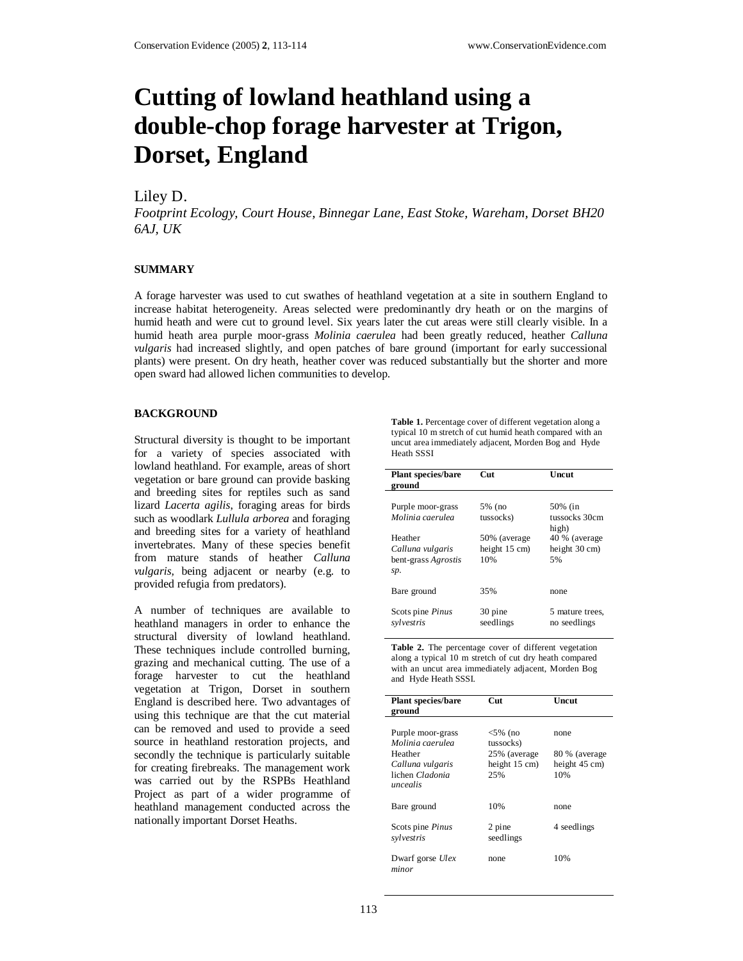# **Cutting of lowland heathland using a double-chop forage harvester at Trigon, Dorset, England**

## Liley D.

*Footprint Ecology, Court House, Binnegar Lane, East Stoke, Wareham, Dorset BH20 6AJ, UK* 

#### **SUMMARY**

A forage harvester was used to cut swathes of heathland vegetation at a site in southern England to increase habitat heterogeneity. Areas selected were predominantly dry heath or on the margins of humid heath and were cut to ground level. Six years later the cut areas were still clearly visible. In a humid heath area purple moor-grass *Molinia caerulea* had been greatly reduced, heather *Calluna vulgaris* had increased slightly, and open patches of bare ground (important for early successional plants) were present. On dry heath, heather cover was reduced substantially but the shorter and more open sward had allowed lichen communities to develop.

#### **BACKGROUND**

Structural diversity is thought to be important for a variety of species associated with lowland heathland. For example, areas of short vegetation or bare ground can provide basking and breeding sites for reptiles such as sand lizard *Lacerta agilis*, foraging areas for birds such as woodlark *Lullula arborea* and foraging and breeding sites for a variety of heathland invertebrates. Many of these species benefit from mature stands of heather *Calluna vulgaris,* being adjacent or nearby (e.g. to provided refugia from predators).

A number of techniques are available to heathland managers in order to enhance the structural diversity of lowland heathland. These techniques include controlled burning, grazing and mechanical cutting. The use of a forage harvester to cut the heathland vegetation at Trigon, Dorset in southern England is described here. Two advantages of using this technique are that the cut material can be removed and used to provide a seed source in heathland restoration projects, and secondly the technique is particularly suitable for creating firebreaks. The management work was carried out by the RSPBs Heathland Project as part of a wider programme of heathland management conducted across the nationally important Dorset Heaths.

**Table 1.** Percentage cover of different vegetation along a typical 10 m stretch of cut humid heath compared with an uncut area immediately adjacent, Morden Bog and Hyde Heath SSSI

| <b>Plant species/bare</b><br>ground                       | Cut                                             | Uncut                                           |
|-----------------------------------------------------------|-------------------------------------------------|-------------------------------------------------|
| Purple moor-grass<br>Molinia caerulea                     | 5% (no<br>tussocks)                             | 50% (in<br>tussocks 30cm<br>high)               |
| Heather<br>Calluna vulgaris<br>bent-grass Agrostis<br>sp. | 50% (average<br>height $15 \text{ cm}$ )<br>10% | 40 % (average<br>height $30 \text{ cm}$ )<br>5% |
| Bare ground                                               | 35%                                             | none                                            |
| Scots pine Pinus<br>sylvestris                            | 30 pine<br>seedlings                            | 5 mature trees.<br>no seedlings                 |

Table 2. The percentage cover of different vegetation along a typical 10 m stretch of cut dry heath compared with an uncut area immediately adjacent, Morden Bog and Hyde Heath SSSI.

| <b>Plant species/bare</b><br>ground                                                                 | Cut                                                             | Uncut                                          |
|-----------------------------------------------------------------------------------------------------|-----------------------------------------------------------------|------------------------------------------------|
| Purple moor-grass<br>Molinia caerulea<br>Heather<br>Calluna vulgaris<br>lichen Cladonia<br>uncealis | $<$ 5% (no<br>tussocks)<br>25% (average<br>height 15 cm)<br>25% | none<br>80 % (average)<br>height 45 cm)<br>10% |
| Bare ground                                                                                         | 10%                                                             | none                                           |
| Scots pine Pinus<br>sylvestris                                                                      | 2 pine<br>seedlings                                             | 4 seedlings                                    |
| Dwarf gorse Ulex<br>minor                                                                           | none                                                            | 10%                                            |